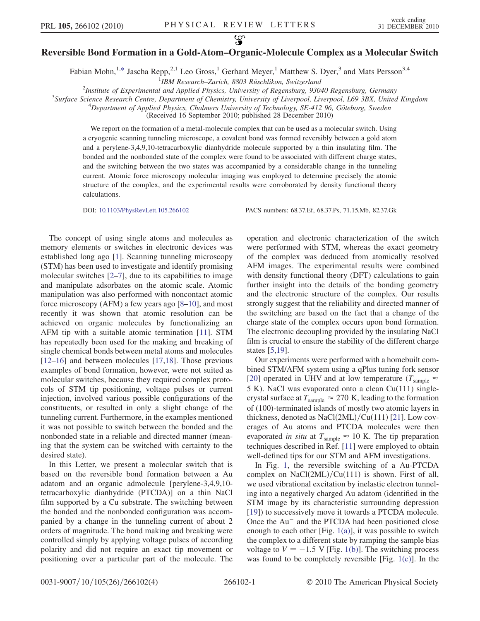## လ္စာ Reversible Bond Formation in a Gold-Atom–Organic-Molecule Complex as a Molecular Switch

Fabian Mohn,<sup>1,[\\*](#page-3-0)</sup> Jascha Repp,<sup>2,1</sup> Leo Gross,<sup>1</sup> Gerhard Meyer,<sup>1</sup> Matthew S. Dyer,<sup>3</sup> and Mats Persson<sup>3,4</sup>

<sup>1</sup>IBM Research-Zurich, 8803 Rüschlikon, Switzerland IBM Research–Zurich, 8803 Rüschlikon, Switzerland<br><sup>2</sup>Institute of Experimental and Applied Physics. University of Penenshura, 030

<span id="page-0-0"></span><sup>2</sup>Institute of Experimental and Applied Physics, University of Regensburg, 93040 Regensburg, Germany<sup>3</sup>Surface Science Research Centre, Department of Chamistry, University of Liverpool, Liverpool, 160,3BY, United

 $3$ Surface Science Research Centre, Department of Chemistry, University of Liverpool, Liverpool, L69 3BX, United Kingdom

 $^{4}$ Department of Applied Physics, Chalmers University of Technology, SE-412 96, Göteborg, Sweden

(Received 16 September 2010; published 28 December 2010)

We report on the formation of a metal-molecule complex that can be used as a molecular switch. Using a cryogenic scanning tunneling microscope, a covalent bond was formed reversibly between a gold atom and a perylene-3,4,9,10-tetracarboxylic dianhydride molecule supported by a thin insulating film. The bonded and the nonbonded state of the complex were found to be associated with different charge states, and the switching between the two states was accompanied by a considerable change in the tunneling current. Atomic force microscopy molecular imaging was employed to determine precisely the atomic structure of the complex, and the experimental results were corroborated by density functional theory calculations.

DOI: [10.1103/PhysRevLett.105.266102](http://dx.doi.org/10.1103/PhysRevLett.105.266102) PACS numbers: 68.37.Ef, 68.37.Ps, 71.15.Mb, 82.37.Gk

The concept of using single atoms and molecules as memory elements or switches in electronic devices was established long ago [\[1](#page-3-1)]. Scanning tunneling microscopy (STM) has been used to investigate and identify promising molecular switches  $[2-7]$  $[2-7]$  $[2-7]$ , due to its capabilities to image and manipulate adsorbates on the atomic scale. Atomic manipulation was also performed with noncontact atomic force microscopy (AFM) a few years ago [[8](#page-3-4)[–10\]](#page-3-5), and most recently it was shown that atomic resolution can be achieved on organic molecules by functionalizing an AFM tip with a suitable atomic termination [\[11\]](#page-3-6). STM has repeatedly been used for the making and breaking of single chemical bonds between metal atoms and molecules [\[12–](#page-3-7)[16\]](#page-3-8) and between molecules [[17](#page-3-9),[18](#page-3-10)]. Those previous examples of bond formation, however, were not suited as molecular switches, because they required complex protocols of STM tip positioning, voltage pulses or current injection, involved various possible configurations of the constituents, or resulted in only a slight change of the tunneling current. Furthermore, in the examples mentioned it was not possible to switch between the bonded and the nonbonded state in a reliable and directed manner (meaning that the system can be switched with certainty to the desired state).

In this Letter, we present a molecular switch that is based on the reversible bond formation between a Au adatom and an organic admolecule [perylene-3,4,9,10 tetracarboxylic dianhydride (PTCDA)] on a thin NaCl film supported by a Cu substrate. The switching between the bonded and the nonbonded configuration was accompanied by a change in the tunneling current of about 2 orders of magnitude. The bond making and breaking were controlled simply by applying voltage pulses of according polarity and did not require an exact tip movement or positioning over a particular part of the molecule. The operation and electronic characterization of the switch were performed with STM, whereas the exact geometry of the complex was deduced from atomically resolved AFM images. The experimental results were combined with density functional theory (DFT) calculations to gain further insight into the details of the bonding geometry and the electronic structure of the complex. Our results strongly suggest that the reliability and directed manner of the switching are based on the fact that a change of the charge state of the complex occurs upon bond formation. The electronic decoupling provided by the insulating NaCl film is crucial to ensure the stability of the different charge states [[5](#page-3-11),[19](#page-3-12)].

Our experiments were performed with a homebuilt combined STM/AFM system using a qPlus tuning fork sensor [\[20\]](#page-3-13) operated in UHV and at low temperature ( $T_{\text{sample}} \approx$ 5 K). NaCl was evaporated onto a clean Cu(111) singlecrystal surface at  $T_{\text{sample}} \approx 270 \text{ K}$ , leading to the formation of (100)-terminated islands of mostly two atomic layers in thickness, denoted as NaCl $(2ML)/Cu(111)$  [\[21\]](#page-3-14). Low coverages of Au atoms and PTCDA molecules were then evaporated in situ at  $T_{\text{sample}} \approx 10$  K. The tip preparation techniques described in Ref. [[11](#page-3-6)] were employed to obtain well-defined tips for our STM and AFM investigations.

In Fig. [1,](#page-1-0) the reversible switching of a Au-PTCDA complex on NaCl $(2ML)/Cu(111)$  is shown. First of all, we used vibrational excitation by inelastic electron tunneling into a negatively charged Au adatom (identified in the STM image by its characteristic surrounding depression [\[19\]](#page-3-12)) to successively move it towards a PTCDA molecule. Once the Au<sup>-</sup> and the PTCDA had been positioned close enough to each other [Fig.  $1(a)$ ], it was possible to switch the complex to a different state by ramping the sample bias voltage to  $V = -1.5$  V [Fig. [1\(b\)](#page-1-1)]. The switching process was found to be completely reversible [Fig. [1\(c\)\]](#page-1-1). In the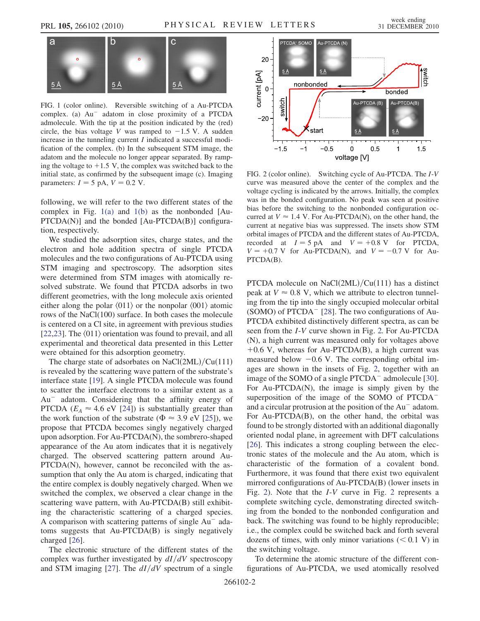<span id="page-1-0"></span>

<span id="page-1-1"></span>FIG. 1 (color online). Reversible switching of a Au-PTCDA complex. (a) Au<sup>-</sup> adatom in close proximity of a PTCDA admolecule. With the tip at the position indicated by the (red) circle, the bias voltage V was ramped to  $-1.5$  V. A sudden increase in the tunneling current I indicated a successful modification of the complex. (b) In the subsequent STM image, the adatom and the molecule no longer appear separated. By ramping the voltage to  $+1.5$  V, the complex was switched back to the initial state, as confirmed by the subsequent image (c). Imaging parameters:  $I = 5$  pA,  $V = 0.2$  V.

following, we will refer to the two different states of the complex in Fig.  $1(a)$  and  $1(b)$  as the nonbonded [Au-PTCDA(N)] and the bonded [Au-PTCDA(B)] configuration, respectively.

We studied the adsorption sites, charge states, and the electron and hole addition spectra of single PTCDA molecules and the two configurations of Au-PTCDA using STM imaging and spectroscopy. The adsorption sites were determined from STM images with atomically resolved substrate. We found that PTCDA adsorbs in two different geometries, with the long molecule axis oriented either along the polar  $\langle 011 \rangle$  or the nonpolar  $\langle 001 \rangle$  atomic rows of the NaCl(100) surface. In both cases the molecule is centered on a Cl site, in agreement with previous studies [\[22](#page-3-15)[,23\]](#page-3-16). The  $\langle 011 \rangle$  orientation was found to prevail, and all experimental and theoretical data presented in this Letter were obtained for this adsorption geometry.

The charge state of adsorbates on NaCl $(2ML)/Cu(111)$ is revealed by the scattering wave pattern of the substrate's interface state [\[19\]](#page-3-12). A single PTCDA molecule was found to scatter the interface electrons to a similar extent as a Au- adatom. Considering that the affinity energy of PTCDA ( $E_A \approx 4.6$  eV [\[24\]](#page-3-17)) is substantially greater than the work function of the substrate ( $\Phi \approx 3.9 \text{ eV}$  [[25\]](#page-3-18)), we propose that PTCDA becomes singly negatively charged upon adsorption. For Au-PTCDA(N), the sombrero-shaped appearance of the Au atom indicates that it is negatively charged. The observed scattering pattern around Au-PTCDA(N), however, cannot be reconciled with the assumption that only the Au atom is charged, indicating that the entire complex is doubly negatively charged. When we switched the complex, we observed a clear change in the scattering wave pattern, with Au-PTCDA(B) still exhibiting the characteristic scattering of a charged species. A comparison with scattering patterns of single Au<sup>-</sup> adatoms suggests that Au-PTCDA(B) is singly negatively charged [[26\]](#page-3-19).

The electronic structure of the different states of the complex was further investigated by  $dI/dV$  spectroscopy and STM imaging [\[27\]](#page-3-20). The  $dI/dV$  spectrum of a single

<span id="page-1-2"></span>

FIG. 2 (color online). Switching cycle of Au-PTCDA. The I-V curve was measured above the center of the complex and the voltage cycling is indicated by the arrows. Initially, the complex was in the bonded configuration. No peak was seen at positive bias before the switching to the nonbonded configuration occurred at  $V \approx 1.4$  V. For Au-PTCDA(N), on the other hand, the current at negative bias was suppressed. The insets show STM orbital images of PTCDA and the different states of Au-PTCDA, recorded at  $I = 5 \text{ pA}$  and  $V = +0.8 \text{ V}$  for PTCDA,  $V = +0.7$  V for Au-PTCDA(N), and  $V = -0.7$  V for Au-PTCDA(B).

PTCDA molecule on NaCl $(2ML)/Cu(111)$  has a distinct peak at  $V \approx 0.8$  V, which we attribute to electron tunneling from the tip into the singly occupied molecular orbital (SOMO) of PTCDA<sup>-</sup> [\[28\]](#page-3-21). The two configurations of Au-PTCDA exhibited distinctively different spectra, as can be seen from the I-V curve shown in Fig. [2.](#page-1-2) For Au-PTCDA (N), a high current was measured only for voltages above  $+0.6$  V, whereas for Au-PTCDA(B), a high current was measured below -0:6 V. The corresponding orbital images are shown in the insets of Fig. [2](#page-1-2), together with an image of the SOMO of a single PTCDA<sup>-</sup> admolecule [[30\]](#page-3-22). For Au-PTCDA(N), the image is simply given by the superposition of the image of the SOMO of PTCDA<sup>-</sup> and a circular protrusion at the position of the Au<sup>-</sup> adatom. For Au-PTCDA(B), on the other hand, the orbital was found to be strongly distorted with an additional diagonally oriented nodal plane, in agreement with DFT calculations [\[26\]](#page-3-19). This indicates a strong coupling between the electronic states of the molecule and the Au atom, which is characteristic of the formation of a covalent bond. Furthermore, it was found that there exist two equivalent mirrored configurations of Au-PTCDA(B) (lower insets in Fig. [2\)](#page-1-2). Note that the I-V curve in Fig. [2](#page-1-2) represents a complete switching cycle, demonstrating directed switching from the bonded to the nonbonded configuration and back. The switching was found to be highly reproducible; i.e., the complex could be switched back and forth several dozens of times, with only minor variations  $(< 0.1$  V) in the switching voltage.

To determine the atomic structure of the different configurations of Au-PTCDA, we used atomically resolved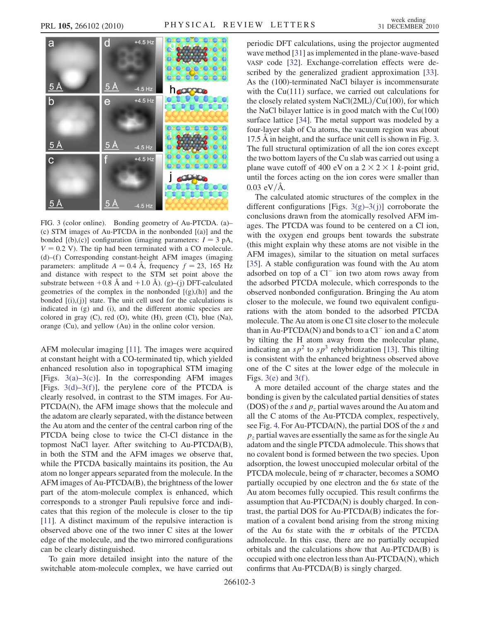<span id="page-2-1"></span>

<span id="page-2-0"></span>FIG. 3 (color online). Bonding geometry of Au-PTCDA. (a)– (c) STM images of Au-PTCDA in the nonbonded [(a)] and the bonded  $[(b),(c)]$  configuration (imaging parameters:  $I = 3$  pA,  $V = 0.2$  V). The tip had been terminated with a CO molecule. (d)–(f ) Corresponding constant-height AFM images (imaging parameters: amplitude  $A = 0.4$  Å, frequency  $f = 23$ , 165 Hz and distance with respect to the STM set point above the substrate between  $+0.\overline{8}$  Å and  $+1.0$  Å). (g)–(j) DFT-calculated geometries of the complex in the nonbonded  $[(g),(h)]$  and the bonded  $[(i), (j)]$  state. The unit cell used for the calculations is indicated in (g) and (i), and the different atomic species are colored in gray (C), red (O), white (H), green (Cl), blue (Na), orange (Cu), and yellow (Au) in the online color version.

AFM molecular imaging [\[11\]](#page-3-6). The images were acquired at constant height with a CO-terminated tip, which yielded enhanced resolution also in topographical STM imaging [Figs.  $3(a)-3(c)$ ]. In the corresponding AFM images [Figs.  $3(d)-3(f)$ ], the perylene core of the PTCDA is clearly resolved, in contrast to the STM images. For Au-PTCDA(N), the AFM image shows that the molecule and the adatom are clearly separated, with the distance between the Au atom and the center of the central carbon ring of the PTCDA being close to twice the Cl-Cl distance in the topmost NaCl layer. After switching to Au-PTCDA(B), in both the STM and the AFM images we observe that, while the PTCDA basically maintains its position, the Au atom no longer appears separated from the molecule. In the AFM images of Au-PTCDA(B), the brightness of the lower part of the atom-molecule complex is enhanced, which corresponds to a stronger Pauli repulsive force and indicates that this region of the molecule is closer to the tip [\[11\]](#page-3-6). A distinct maximum of the repulsive interaction is observed above one of the two inner C sites at the lower edge of the molecule, and the two mirrored configurations can be clearly distinguished.

To gain more detailed insight into the nature of the switchable atom-molecule complex, we have carried out periodic DFT calculations, using the projector augmented wave method [[31](#page-3-23)] as implemented in the plane-wave-based VASP code [[32\]](#page-3-24). Exchange-correlation effects were described by the generalized gradient approximation [[33\]](#page-3-25). As the (100)-terminated NaCl bilayer is incommensurate with the Cu(111) surface, we carried out calculations for the closely related system NaCl $(2ML)/Cu(100)$ , for which the NaCl bilayer lattice is in good match with the  $Cu(100)$ surface lattice [\[34\]](#page-3-26). The metal support was modeled by a four-layer slab of Cu atoms, the vacuum region was about 17.5 Å in height, and the surface unit cell is shown in Fig. [3.](#page-2-1) The full structural optimization of all the ion cores except the two bottom layers of the Cu slab was carried out using a plane wave cutoff of 400 eV on a  $2 \times 2 \times 1$  k-point grid, until the forces acting on the ion cores were smaller than  $0.03 \text{ eV/A}.$ 

The calculated atomic structures of the complex in the different configurations [Figs.  $3(g)-3(j)$  $3(g)-3(j)$ ] corroborate the conclusions drawn from the atomically resolved AFM images. The PTCDA was found to be centered on a Cl ion, with the oxygen end groups bent towards the substrate (this might explain why these atoms are not visible in the AFM images), similar to the situation on metal surfaces [\[35\]](#page-3-27). A stable configuration was found with the Au atom adsorbed on top of a  $Cl^-$  ion two atom rows away from the adsorbed PTCDA molecule, which corresponds to the observed nonbonded configuration. Bringing the Au atom closer to the molecule, we found two equivalent configurations with the atom bonded to the adsorbed PTCDA molecule. The Au atom is one Cl site closer to the molecule than in Au-PTCDA(N) and bonds to a  $Cl^-$  ion and a C atom by tilting the H atom away from the molecular plane, indicating an  $sp^2$  to  $sp^3$  rehybridization [\[13\]](#page-3-28). This tilting is consistent with the enhanced brightness observed above one of the C sites at the lower edge of the molecule in Figs.  $3(e)$  and  $3(f)$ .

A more detailed account of the charge states and the bonding is given by the calculated partial densities of states (DOS) of the s and  $p_z$  partial waves around the Au atom and all the C atoms of the Au-PTCDA complex, respectively, see Fig. [4.](#page-3-29) For Au-PTCDA(N), the partial DOS of the s and  $p<sub>z</sub>$  partial waves are essentially the same as for the single Au adatom and the single PTCDA admolecule. This shows that no covalent bond is formed between the two species. Upon adsorption, the lowest unoccupied molecular orbital of the PTCDA molecule, being of  $\pi$  character, becomes a SOMO partially occupied by one electron and the 6s state of the Au atom becomes fully occupied. This result confirms the assumption that Au-PTCDA(N) is doubly charged. In contrast, the partial DOS for Au-PTCDA(B) indicates the formation of a covalent bond arising from the strong mixing of the Au 6s state with the  $\pi$  orbitals of the PTCDA admolecule. In this case, there are no partially occupied orbitals and the calculations show that Au-PTCDA(B) is occupied with one electron less than Au-PTCDA(N), which confirms that Au-PTCDA(B) is singly charged.